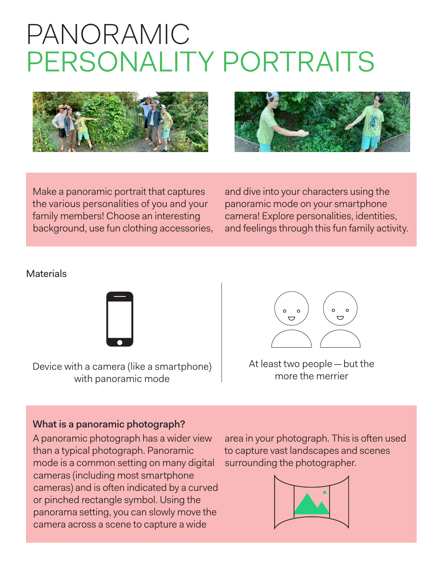## PANORAMIC PERSONALITY PORTRAITS





Make a panoramic portrait that captures the various personalities of you and your family members! Choose an interesting background, use fun clothing accessories, and dive into your characters using the panoramic mode on your smartphone camera! Explore personalities, identities, and feelings through this fun family activity.

## **Materials**



Device with a camera (like a smartphone) Mat least two people — b<br>more the merrier with panoramic mode



At least two people—but the

## What is a panoramic photograph?

A panoramic photograph has a wider view than a typical photograph. Panoramic mode is a common setting on many digital cameras (including most smartphone cameras) and is often indicated by a curved or pinched rectangle symbol. Using the panorama setting, you can slowly move the camera across a scene to capture a wide

area in your photograph. This is often used to capture vast landscapes and scenes surrounding the photographer.